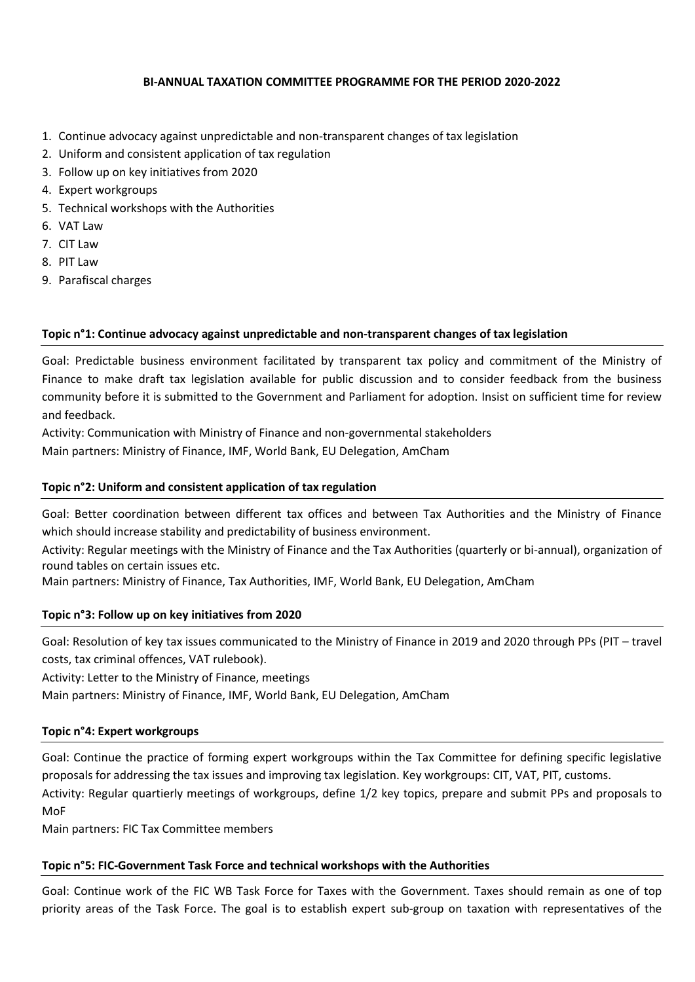# **BI-ANNUAL TAXATION COMMITTEE PROGRAMME FOR THE PERIOD 2020-2022**

- 1. Continue advocacy against unpredictable and non-transparent changes of tax legislation
- 2. Uniform and consistent application of tax regulation
- 3. Follow up on key initiatives from 2020
- 4. Expert workgroups
- 5. Technical workshops with the Authorities
- 6. VAT Law
- 7. CIT Law
- 8. PIT Law
- 9. Parafiscal charges

#### **Topic n°1: Continue advocacy against unpredictable and non-transparent changes of tax legislation**

Goal: Predictable business environment facilitated by transparent tax policy and commitment of the Ministry of Finance to make draft tax legislation available for public discussion and to consider feedback from the business community before it is submitted to the Government and Parliament for adoption. Insist on sufficient time for review and feedback.

Activity: Communication with Ministry of Finance and non-governmental stakeholders

Main partners: Ministry of Finance, IMF, World Bank, EU Delegation, AmCham

## **Topic n°2: Uniform and consistent application of tax regulation**

Goal: Better coordination between different tax offices and between Tax Authorities and the Ministry of Finance which should increase stability and predictability of business environment.

Activity: Regular meetings with the Ministry of Finance and the Tax Authorities (quarterly or bi-annual), organization of round tables on certain issues etc.

Main partners: Ministry of Finance, Tax Authorities, IMF, World Bank, EU Delegation, AmCham

#### **Topic n°3: Follow up on key initiatives from 2020**

Goal: Resolution of key tax issues communicated to the Ministry of Finance in 2019 and 2020 through PPs (PIT – travel costs, tax criminal offences, VAT rulebook).

Activity: Letter to the Ministry of Finance, meetings

Main partners: Ministry of Finance, IMF, World Bank, EU Delegation, AmCham

#### **Topic n°4: Expert workgroups**

Goal: Continue the practice of forming expert workgroups within the Tax Committee for defining specific legislative proposals for addressing the tax issues and improving tax legislation. Key workgroups: CIT, VAT, PIT, customs. Activity: Regular quartierly meetings of workgroups, define 1/2 key topics, prepare and submit PPs and proposals to

MoF

Main partners: FIC Tax Committee members

#### **Topic n°5: FIC-Government Task Force and technical workshops with the Authorities**

Goal: Continue work of the FIC WB Task Force for Taxes with the Government. Taxes should remain as one of top priority areas of the Task Force. The goal is to establish expert sub-group on taxation with representatives of the